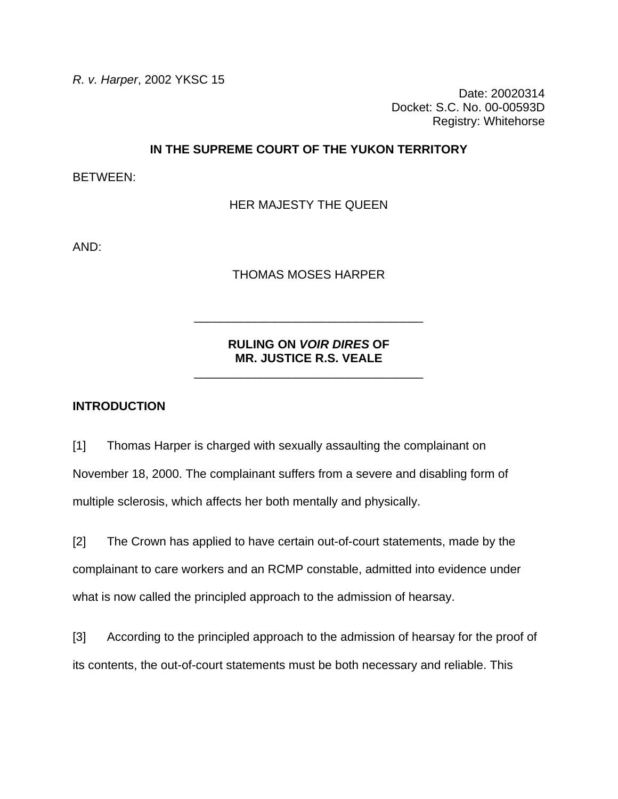*R. v. Harper*, 2002 YKSC 15

Date: 20020314 Docket: S.C. No. 00-00593D Registry: Whitehorse

### **IN THE SUPREME COURT OF THE YUKON TERRITORY**

BETWEEN:

HER MAJESTY THE QUEEN

AND:

THOMAS MOSES HARPER

# **RULING ON** *VOIR DIRES* **OF MR. JUSTICE R.S. VEALE**

\_\_\_\_\_\_\_\_\_\_\_\_\_\_\_\_\_\_\_\_\_\_\_\_\_\_\_\_\_\_\_\_\_\_

\_\_\_\_\_\_\_\_\_\_\_\_\_\_\_\_\_\_\_\_\_\_\_\_\_\_\_\_\_\_\_\_\_\_

### **INTRODUCTION**

[1] Thomas Harper is charged with sexually assaulting the complainant on November 18, 2000. The complainant suffers from a severe and disabling form of multiple sclerosis, which affects her both mentally and physically.

[2] The Crown has applied to have certain out-of-court statements, made by the complainant to care workers and an RCMP constable, admitted into evidence under what is now called the principled approach to the admission of hearsay.

[3] According to the principled approach to the admission of hearsay for the proof of its contents, the out-of-court statements must be both necessary and reliable. This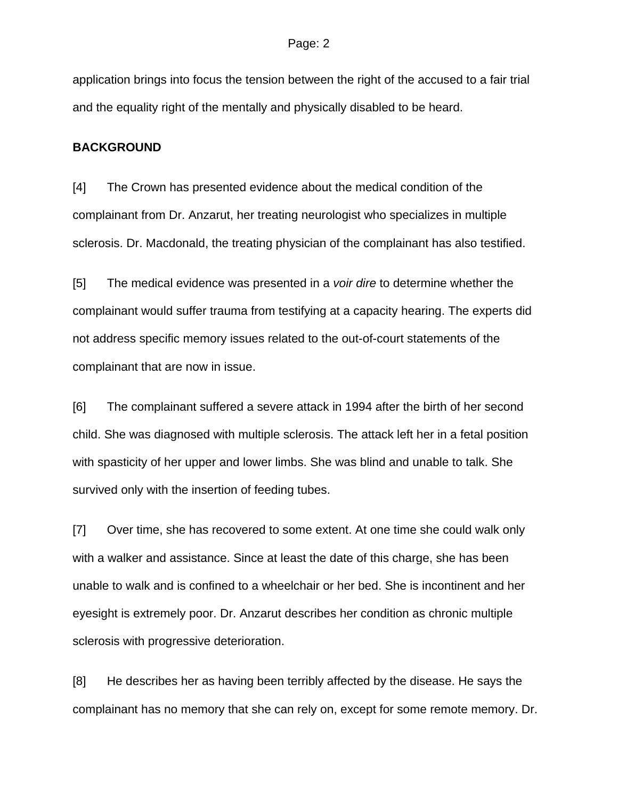application brings into focus the tension between the right of the accused to a fair trial and the equality right of the mentally and physically disabled to be heard.

### **BACKGROUND**

[4] The Crown has presented evidence about the medical condition of the complainant from Dr. Anzarut, her treating neurologist who specializes in multiple sclerosis. Dr. Macdonald, the treating physician of the complainant has also testified.

[5] The medical evidence was presented in a *voir dire* to determine whether the complainant would suffer trauma from testifying at a capacity hearing. The experts did not address specific memory issues related to the out-of-court statements of the complainant that are now in issue.

[6] The complainant suffered a severe attack in 1994 after the birth of her second child. She was diagnosed with multiple sclerosis. The attack left her in a fetal position with spasticity of her upper and lower limbs. She was blind and unable to talk. She survived only with the insertion of feeding tubes.

[7] Over time, she has recovered to some extent. At one time she could walk only with a walker and assistance. Since at least the date of this charge, she has been unable to walk and is confined to a wheelchair or her bed. She is incontinent and her eyesight is extremely poor. Dr. Anzarut describes her condition as chronic multiple sclerosis with progressive deterioration.

[8] He describes her as having been terribly affected by the disease. He says the complainant has no memory that she can rely on, except for some remote memory. Dr.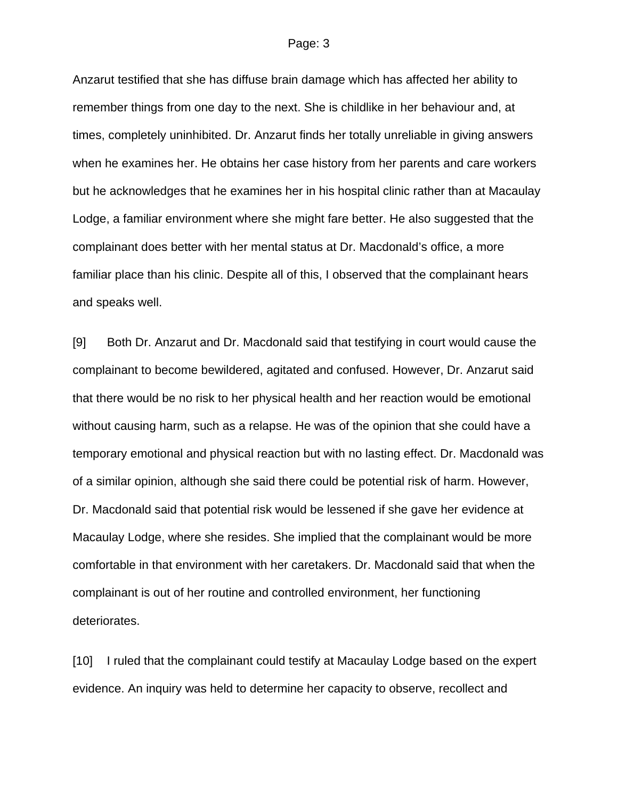Anzarut testified that she has diffuse brain damage which has affected her ability to remember things from one day to the next. She is childlike in her behaviour and, at times, completely uninhibited. Dr. Anzarut finds her totally unreliable in giving answers when he examines her. He obtains her case history from her parents and care workers but he acknowledges that he examines her in his hospital clinic rather than at Macaulay Lodge, a familiar environment where she might fare better. He also suggested that the complainant does better with her mental status at Dr. Macdonald's office, a more familiar place than his clinic. Despite all of this, I observed that the complainant hears and speaks well.

[9] Both Dr. Anzarut and Dr. Macdonald said that testifying in court would cause the complainant to become bewildered, agitated and confused. However, Dr. Anzarut said that there would be no risk to her physical health and her reaction would be emotional without causing harm, such as a relapse. He was of the opinion that she could have a temporary emotional and physical reaction but with no lasting effect. Dr. Macdonald was of a similar opinion, although she said there could be potential risk of harm. However, Dr. Macdonald said that potential risk would be lessened if she gave her evidence at Macaulay Lodge, where she resides. She implied that the complainant would be more comfortable in that environment with her caretakers. Dr. Macdonald said that when the complainant is out of her routine and controlled environment, her functioning deteriorates.

[10] I ruled that the complainant could testify at Macaulay Lodge based on the expert evidence. An inquiry was held to determine her capacity to observe, recollect and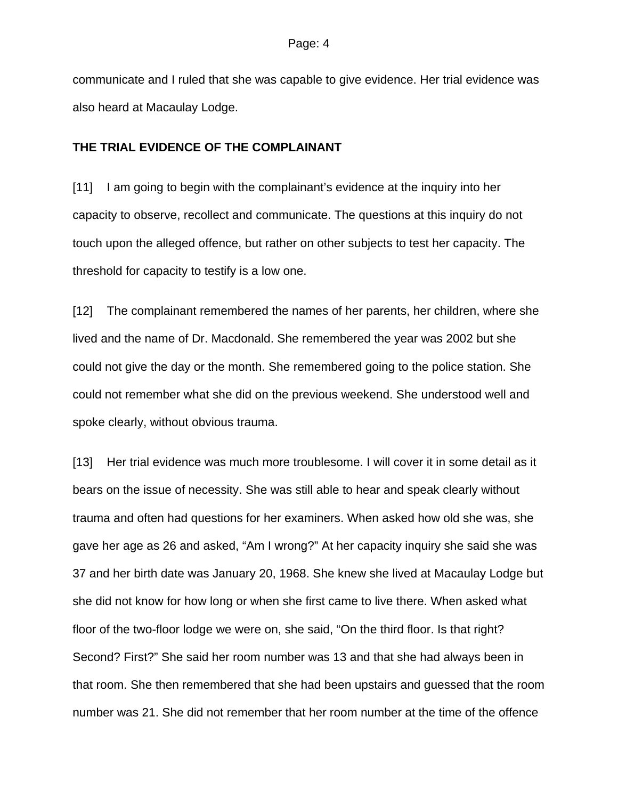communicate and I ruled that she was capable to give evidence. Her trial evidence was also heard at Macaulay Lodge.

### **THE TRIAL EVIDENCE OF THE COMPLAINANT**

[11] I am going to begin with the complainant's evidence at the inquiry into her capacity to observe, recollect and communicate. The questions at this inquiry do not touch upon the alleged offence, but rather on other subjects to test her capacity. The threshold for capacity to testify is a low one.

[12] The complainant remembered the names of her parents, her children, where she lived and the name of Dr. Macdonald. She remembered the year was 2002 but she could not give the day or the month. She remembered going to the police station. She could not remember what she did on the previous weekend. She understood well and spoke clearly, without obvious trauma.

[13] Her trial evidence was much more troublesome. I will cover it in some detail as it bears on the issue of necessity. She was still able to hear and speak clearly without trauma and often had questions for her examiners. When asked how old she was, she gave her age as 26 and asked, "Am I wrong?" At her capacity inquiry she said she was 37 and her birth date was January 20, 1968. She knew she lived at Macaulay Lodge but she did not know for how long or when she first came to live there. When asked what floor of the two-floor lodge we were on, she said, "On the third floor. Is that right? Second? First?" She said her room number was 13 and that she had always been in that room. She then remembered that she had been upstairs and guessed that the room number was 21. She did not remember that her room number at the time of the offence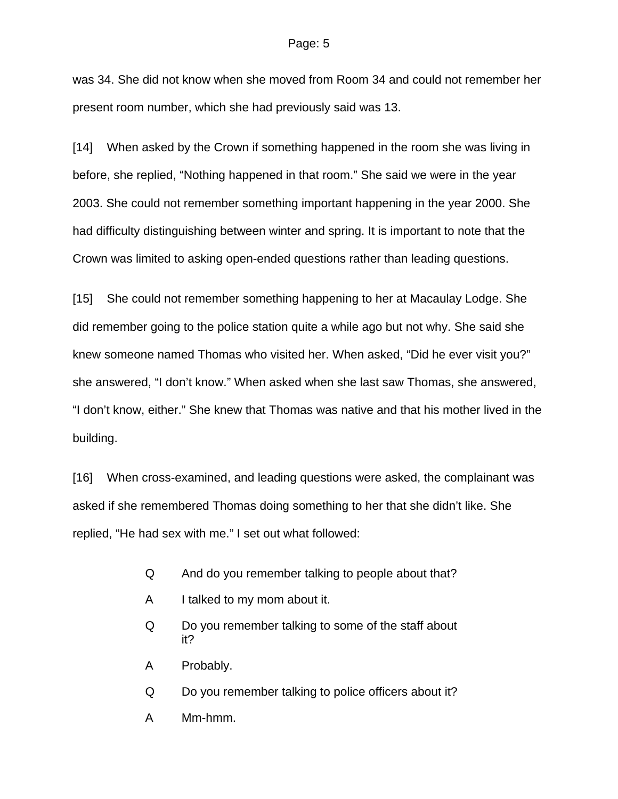was 34. She did not know when she moved from Room 34 and could not remember her present room number, which she had previously said was 13.

[14] When asked by the Crown if something happened in the room she was living in before, she replied, "Nothing happened in that room." She said we were in the year 2003. She could not remember something important happening in the year 2000. She had difficulty distinguishing between winter and spring. It is important to note that the Crown was limited to asking open-ended questions rather than leading questions.

[15] She could not remember something happening to her at Macaulay Lodge. She did remember going to the police station quite a while ago but not why. She said she knew someone named Thomas who visited her. When asked, "Did he ever visit you?" she answered, "I don't know." When asked when she last saw Thomas, she answered, "I don't know, either." She knew that Thomas was native and that his mother lived in the building.

[16] When cross-examined, and leading questions were asked, the complainant was asked if she remembered Thomas doing something to her that she didn't like. She replied, "He had sex with me." I set out what followed:

- Q And do you remember talking to people about that?
- A I talked to my mom about it.
- Q Do you remember talking to some of the staff about it?
- A Probably.
- Q Do you remember talking to police officers about it?
- A Mm-hmm.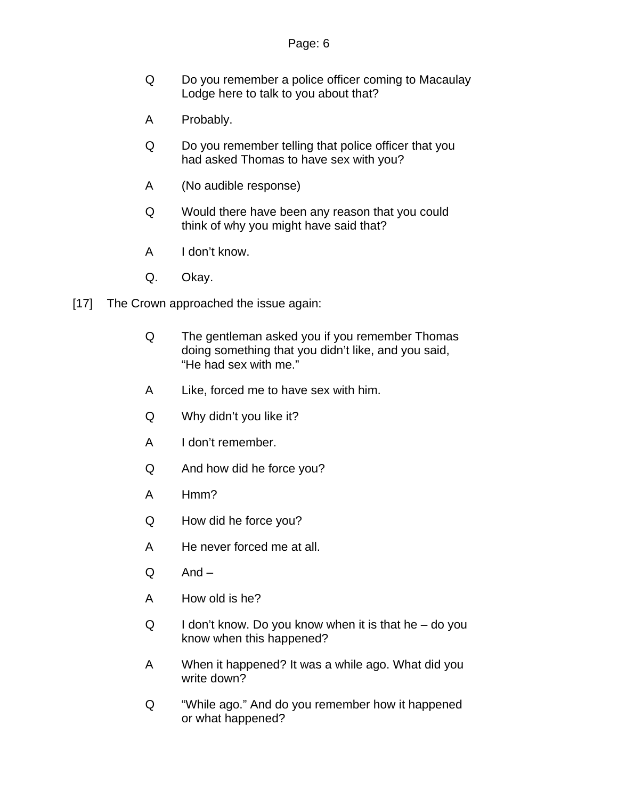- Q Do you remember a police officer coming to Macaulay Lodge here to talk to you about that?
- A Probably.
- Q Do you remember telling that police officer that you had asked Thomas to have sex with you?
- A (No audible response)
- Q Would there have been any reason that you could think of why you might have said that?
- A I don't know.
- Q. Okay.
- [17] The Crown approached the issue again:
	- Q The gentleman asked you if you remember Thomas doing something that you didn't like, and you said, "He had sex with me."
	- A Like, forced me to have sex with him.
	- Q Why didn't you like it?
	- A I don't remember.
	- Q And how did he force you?
	- A Hmm?
	- Q How did he force you?
	- A He never forced me at all.
	- Q And –
	- A How old is he?
	- $Q$  I don't know. Do you know when it is that he do you know when this happened?
	- A When it happened? It was a while ago. What did you write down?
	- Q "While ago." And do you remember how it happened or what happened?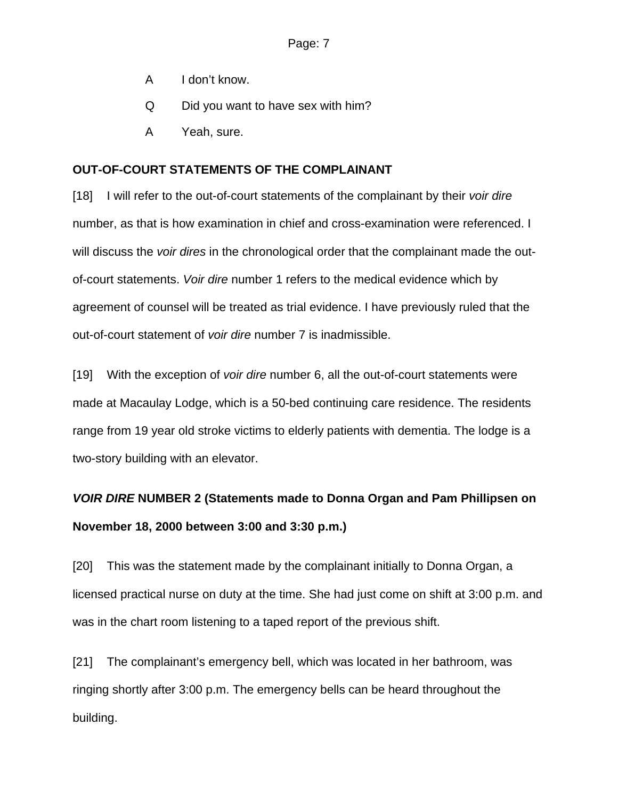- A I don't know.
- Q Did you want to have sex with him?
- A Yeah, sure.

## **OUT-OF-COURT STATEMENTS OF THE COMPLAINANT**

[18] I will refer to the out-of-court statements of the complainant by their *voir dire* number, as that is how examination in chief and cross-examination were referenced. I will discuss the *voir dires* in the chronological order that the complainant made the outof-court statements. *Voir dire* number 1 refers to the medical evidence which by agreement of counsel will be treated as trial evidence. I have previously ruled that the out-of-court statement of *voir dire* number 7 is inadmissible.

[19] With the exception of *voir dire* number 6, all the out-of-court statements were made at Macaulay Lodge, which is a 50-bed continuing care residence. The residents range from 19 year old stroke victims to elderly patients with dementia. The lodge is a two-story building with an elevator.

# *VOIR DIRE* **NUMBER 2 (Statements made to Donna Organ and Pam Phillipsen on November 18, 2000 between 3:00 and 3:30 p.m.)**

[20] This was the statement made by the complainant initially to Donna Organ, a licensed practical nurse on duty at the time. She had just come on shift at 3:00 p.m. and was in the chart room listening to a taped report of the previous shift.

[21] The complainant's emergency bell, which was located in her bathroom, was ringing shortly after 3:00 p.m. The emergency bells can be heard throughout the building.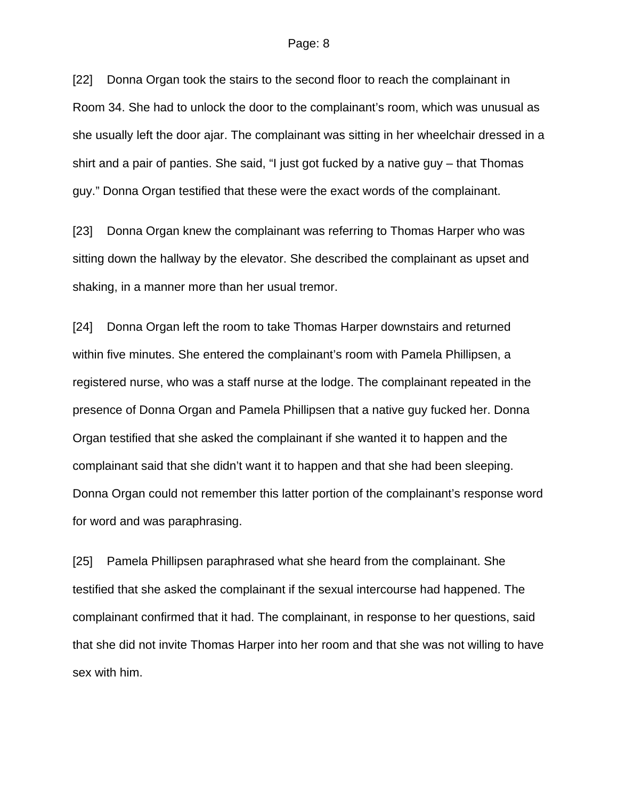[22] Donna Organ took the stairs to the second floor to reach the complainant in Room 34. She had to unlock the door to the complainant's room, which was unusual as she usually left the door ajar. The complainant was sitting in her wheelchair dressed in a shirt and a pair of panties. She said, "I just got fucked by a native guy – that Thomas guy." Donna Organ testified that these were the exact words of the complainant.

[23] Donna Organ knew the complainant was referring to Thomas Harper who was sitting down the hallway by the elevator. She described the complainant as upset and shaking, in a manner more than her usual tremor.

[24] Donna Organ left the room to take Thomas Harper downstairs and returned within five minutes. She entered the complainant's room with Pamela Phillipsen, a registered nurse, who was a staff nurse at the lodge. The complainant repeated in the presence of Donna Organ and Pamela Phillipsen that a native guy fucked her. Donna Organ testified that she asked the complainant if she wanted it to happen and the complainant said that she didn't want it to happen and that she had been sleeping. Donna Organ could not remember this latter portion of the complainant's response word for word and was paraphrasing.

[25] Pamela Phillipsen paraphrased what she heard from the complainant. She testified that she asked the complainant if the sexual intercourse had happened. The complainant confirmed that it had. The complainant, in response to her questions, said that she did not invite Thomas Harper into her room and that she was not willing to have sex with him.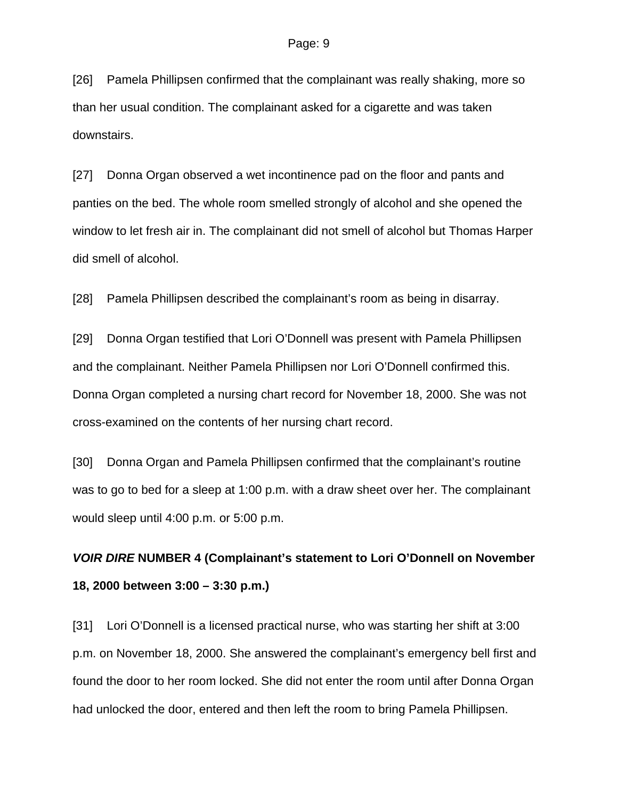[26] Pamela Phillipsen confirmed that the complainant was really shaking, more so than her usual condition. The complainant asked for a cigarette and was taken downstairs.

[27] Donna Organ observed a wet incontinence pad on the floor and pants and panties on the bed. The whole room smelled strongly of alcohol and she opened the window to let fresh air in. The complainant did not smell of alcohol but Thomas Harper did smell of alcohol.

[28] Pamela Phillipsen described the complainant's room as being in disarray.

[29] Donna Organ testified that Lori O'Donnell was present with Pamela Phillipsen and the complainant. Neither Pamela Phillipsen nor Lori O'Donnell confirmed this. Donna Organ completed a nursing chart record for November 18, 2000. She was not cross-examined on the contents of her nursing chart record.

[30] Donna Organ and Pamela Phillipsen confirmed that the complainant's routine was to go to bed for a sleep at 1:00 p.m. with a draw sheet over her. The complainant would sleep until 4:00 p.m. or 5:00 p.m.

# *VOIR DIRE* **NUMBER 4 (Complainant's statement to Lori O'Donnell on November 18, 2000 between 3:00 – 3:30 p.m.)**

[31] Lori O'Donnell is a licensed practical nurse, who was starting her shift at 3:00 p.m. on November 18, 2000. She answered the complainant's emergency bell first and found the door to her room locked. She did not enter the room until after Donna Organ had unlocked the door, entered and then left the room to bring Pamela Phillipsen.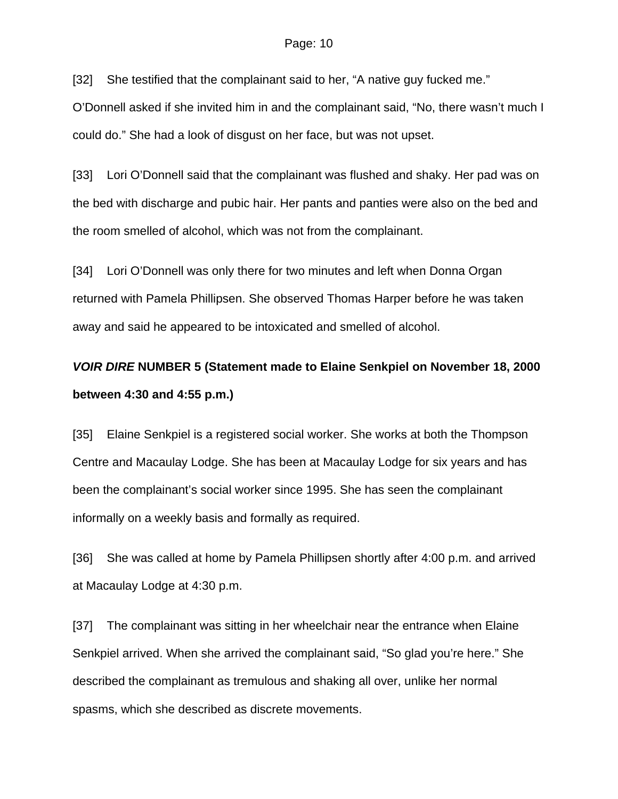[32] She testified that the complainant said to her, "A native guy fucked me."

O'Donnell asked if she invited him in and the complainant said, "No, there wasn't much I could do." She had a look of disgust on her face, but was not upset.

[33] Lori O'Donnell said that the complainant was flushed and shaky. Her pad was on the bed with discharge and pubic hair. Her pants and panties were also on the bed and the room smelled of alcohol, which was not from the complainant.

[34] Lori O'Donnell was only there for two minutes and left when Donna Organ returned with Pamela Phillipsen. She observed Thomas Harper before he was taken away and said he appeared to be intoxicated and smelled of alcohol.

# *VOIR DIRE* **NUMBER 5 (Statement made to Elaine Senkpiel on November 18, 2000 between 4:30 and 4:55 p.m.)**

[35] Elaine Senkpiel is a registered social worker. She works at both the Thompson Centre and Macaulay Lodge. She has been at Macaulay Lodge for six years and has been the complainant's social worker since 1995. She has seen the complainant informally on a weekly basis and formally as required.

[36] She was called at home by Pamela Phillipsen shortly after 4:00 p.m. and arrived at Macaulay Lodge at 4:30 p.m.

[37] The complainant was sitting in her wheelchair near the entrance when Elaine Senkpiel arrived. When she arrived the complainant said, "So glad you're here." She described the complainant as tremulous and shaking all over, unlike her normal spasms, which she described as discrete movements.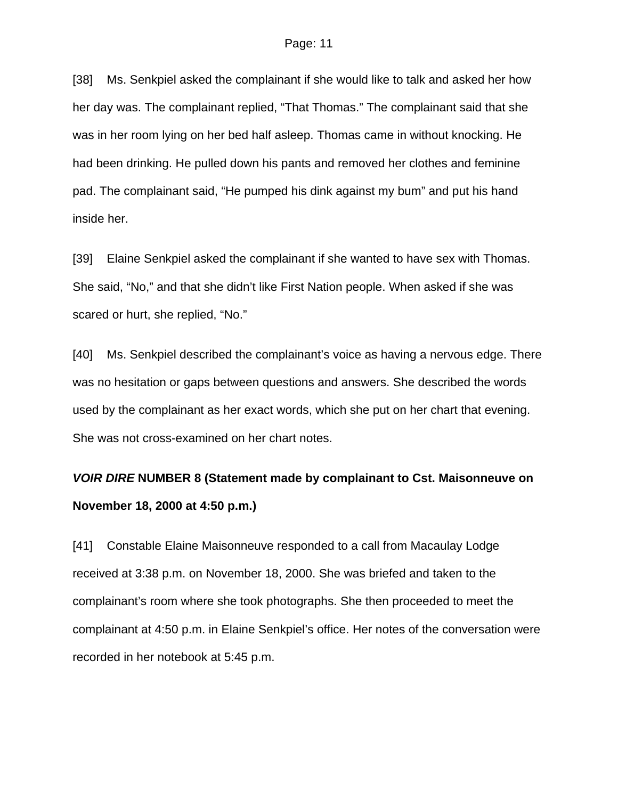[38] Ms. Senkpiel asked the complainant if she would like to talk and asked her how her day was. The complainant replied, "That Thomas." The complainant said that she was in her room lying on her bed half asleep. Thomas came in without knocking. He had been drinking. He pulled down his pants and removed her clothes and feminine pad. The complainant said, "He pumped his dink against my bum" and put his hand inside her.

[39] Elaine Senkpiel asked the complainant if she wanted to have sex with Thomas. She said, "No," and that she didn't like First Nation people. When asked if she was scared or hurt, she replied, "No."

[40] Ms. Senkpiel described the complainant's voice as having a nervous edge. There was no hesitation or gaps between questions and answers. She described the words used by the complainant as her exact words, which she put on her chart that evening. She was not cross-examined on her chart notes.

# *VOIR DIRE* **NUMBER 8 (Statement made by complainant to Cst. Maisonneuve on November 18, 2000 at 4:50 p.m.)**

[41] Constable Elaine Maisonneuve responded to a call from Macaulay Lodge received at 3:38 p.m. on November 18, 2000. She was briefed and taken to the complainant's room where she took photographs. She then proceeded to meet the complainant at 4:50 p.m. in Elaine Senkpiel's office. Her notes of the conversation were recorded in her notebook at 5:45 p.m.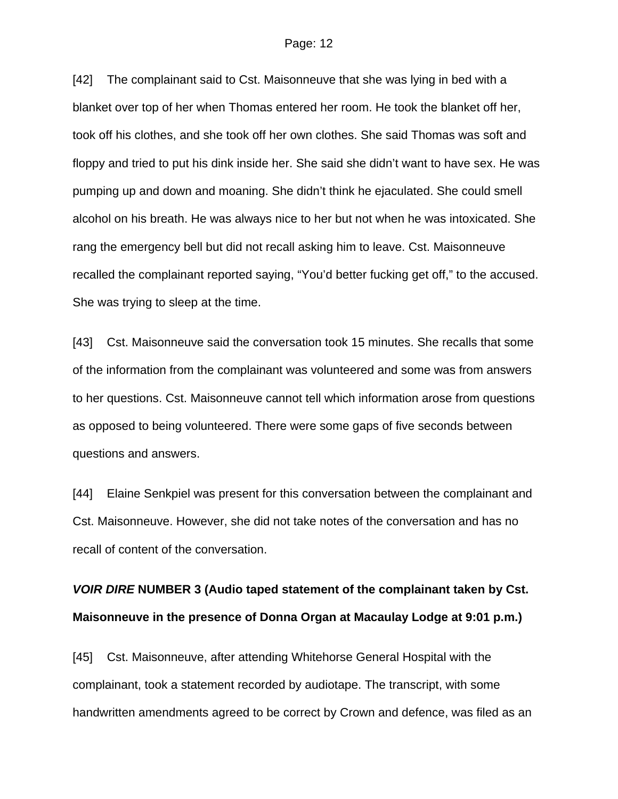[42] The complainant said to Cst. Maisonneuve that she was lying in bed with a blanket over top of her when Thomas entered her room. He took the blanket off her, took off his clothes, and she took off her own clothes. She said Thomas was soft and floppy and tried to put his dink inside her. She said she didn't want to have sex. He was pumping up and down and moaning. She didn't think he ejaculated. She could smell alcohol on his breath. He was always nice to her but not when he was intoxicated. She rang the emergency bell but did not recall asking him to leave. Cst. Maisonneuve recalled the complainant reported saying, "You'd better fucking get off," to the accused. She was trying to sleep at the time.

[43] Cst. Maisonneuve said the conversation took 15 minutes. She recalls that some of the information from the complainant was volunteered and some was from answers to her questions. Cst. Maisonneuve cannot tell which information arose from questions as opposed to being volunteered. There were some gaps of five seconds between questions and answers.

[44] Elaine Senkpiel was present for this conversation between the complainant and Cst. Maisonneuve. However, she did not take notes of the conversation and has no recall of content of the conversation.

# *VOIR DIRE* **NUMBER 3 (Audio taped statement of the complainant taken by Cst. Maisonneuve in the presence of Donna Organ at Macaulay Lodge at 9:01 p.m.)**

[45] Cst. Maisonneuve, after attending Whitehorse General Hospital with the complainant, took a statement recorded by audiotape. The transcript, with some handwritten amendments agreed to be correct by Crown and defence, was filed as an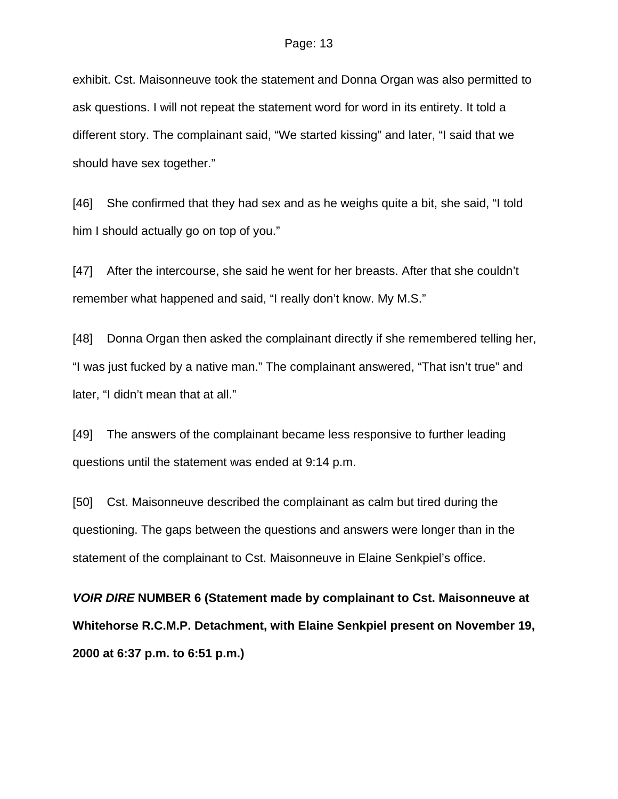exhibit. Cst. Maisonneuve took the statement and Donna Organ was also permitted to ask questions. I will not repeat the statement word for word in its entirety. It told a different story. The complainant said, "We started kissing" and later, "I said that we should have sex together."

[46] She confirmed that they had sex and as he weighs quite a bit, she said, "I told him I should actually go on top of you."

[47] After the intercourse, she said he went for her breasts. After that she couldn't remember what happened and said, "I really don't know. My M.S."

[48] Donna Organ then asked the complainant directly if she remembered telling her, "I was just fucked by a native man." The complainant answered, "That isn't true" and later, "I didn't mean that at all."

[49] The answers of the complainant became less responsive to further leading questions until the statement was ended at 9:14 p.m.

[50] Cst. Maisonneuve described the complainant as calm but tired during the questioning. The gaps between the questions and answers were longer than in the statement of the complainant to Cst. Maisonneuve in Elaine Senkpiel's office.

*VOIR DIRE* **NUMBER 6 (Statement made by complainant to Cst. Maisonneuve at Whitehorse R.C.M.P. Detachment, with Elaine Senkpiel present on November 19, 2000 at 6:37 p.m. to 6:51 p.m.)**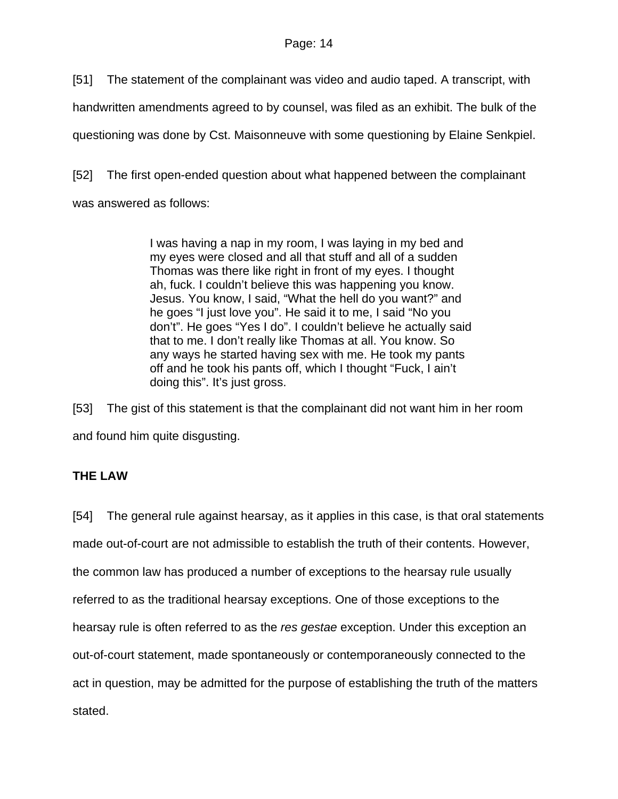[51] The statement of the complainant was video and audio taped. A transcript, with

handwritten amendments agreed to by counsel, was filed as an exhibit. The bulk of the

questioning was done by Cst. Maisonneuve with some questioning by Elaine Senkpiel.

[52] The first open-ended question about what happened between the complainant

was answered as follows:

I was having a nap in my room, I was laying in my bed and my eyes were closed and all that stuff and all of a sudden Thomas was there like right in front of my eyes. I thought ah, fuck. I couldn't believe this was happening you know. Jesus. You know, I said, "What the hell do you want?" and he goes "I just love you". He said it to me, I said "No you don't". He goes "Yes I do". I couldn't believe he actually said that to me. I don't really like Thomas at all. You know. So any ways he started having sex with me. He took my pants off and he took his pants off, which I thought "Fuck, I ain't doing this". It's just gross.

[53] The gist of this statement is that the complainant did not want him in her room and found him quite disgusting.

# **THE LAW**

[54] The general rule against hearsay, as it applies in this case, is that oral statements made out-of-court are not admissible to establish the truth of their contents. However, the common law has produced a number of exceptions to the hearsay rule usually referred to as the traditional hearsay exceptions. One of those exceptions to the hearsay rule is often referred to as the *res gestae* exception. Under this exception an out-of-court statement, made spontaneously or contemporaneously connected to the act in question, may be admitted for the purpose of establishing the truth of the matters stated.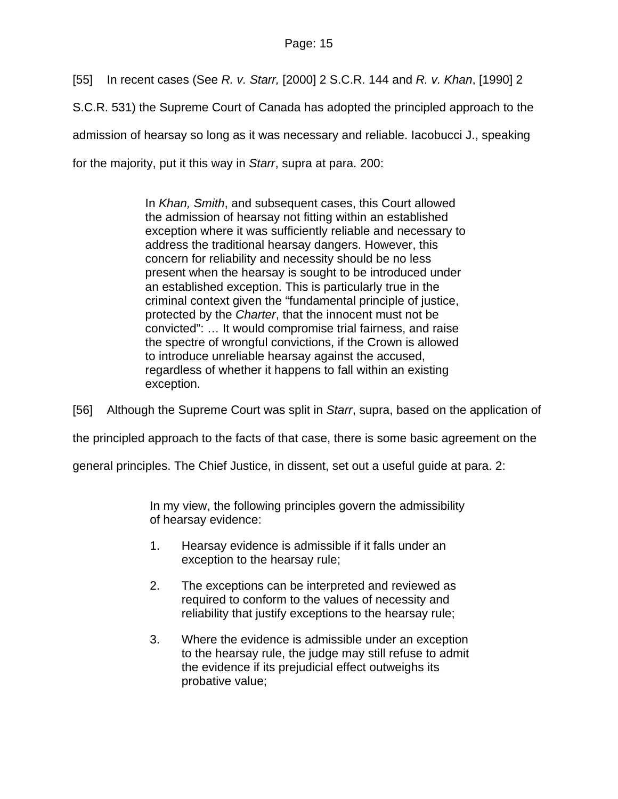[55] In recent cases (See *R. v. Starr,* [2000] 2 S.C.R. 144 and *R. v. Khan*, [1990] 2 S.C.R. 531) the Supreme Court of Canada has adopted the principled approach to the admission of hearsay so long as it was necessary and reliable. Iacobucci J., speaking for the majority, put it this way in *Starr*, supra at para. 200:

> In *Khan, Smith*, and subsequent cases, this Court allowed the admission of hearsay not fitting within an established exception where it was sufficiently reliable and necessary to address the traditional hearsay dangers. However, this concern for reliability and necessity should be no less present when the hearsay is sought to be introduced under an established exception. This is particularly true in the criminal context given the "fundamental principle of justice, protected by the *Charter*, that the innocent must not be convicted": … It would compromise trial fairness, and raise the spectre of wrongful convictions, if the Crown is allowed to introduce unreliable hearsay against the accused, regardless of whether it happens to fall within an existing exception.

[56] Although the Supreme Court was split in *Starr*, supra, based on the application of the principled approach to the facts of that case, there is some basic agreement on the general principles. The Chief Justice, in dissent, set out a useful guide at para. 2:

> In my view, the following principles govern the admissibility of hearsay evidence:

- 1. Hearsay evidence is admissible if it falls under an exception to the hearsay rule;
- 2. The exceptions can be interpreted and reviewed as required to conform to the values of necessity and reliability that justify exceptions to the hearsay rule;
- 3. Where the evidence is admissible under an exception to the hearsay rule, the judge may still refuse to admit the evidence if its prejudicial effect outweighs its probative value;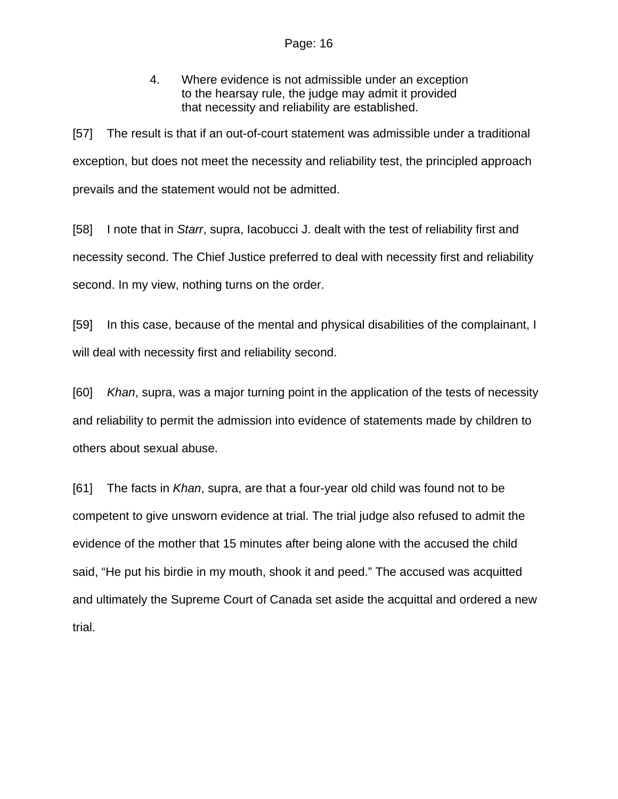4. Where evidence is not admissible under an exception to the hearsay rule, the judge may admit it provided that necessity and reliability are established.

[57] The result is that if an out-of-court statement was admissible under a traditional exception, but does not meet the necessity and reliability test, the principled approach prevails and the statement would not be admitted.

[58] I note that in *Starr*, supra, Iacobucci J. dealt with the test of reliability first and necessity second. The Chief Justice preferred to deal with necessity first and reliability second. In my view, nothing turns on the order.

[59] In this case, because of the mental and physical disabilities of the complainant, I will deal with necessity first and reliability second.

[60] *Khan*, supra, was a major turning point in the application of the tests of necessity and reliability to permit the admission into evidence of statements made by children to others about sexual abuse.

[61] The facts in *Khan*, supra, are that a four-year old child was found not to be competent to give unsworn evidence at trial. The trial judge also refused to admit the evidence of the mother that 15 minutes after being alone with the accused the child said, "He put his birdie in my mouth, shook it and peed." The accused was acquitted and ultimately the Supreme Court of Canada set aside the acquittal and ordered a new trial.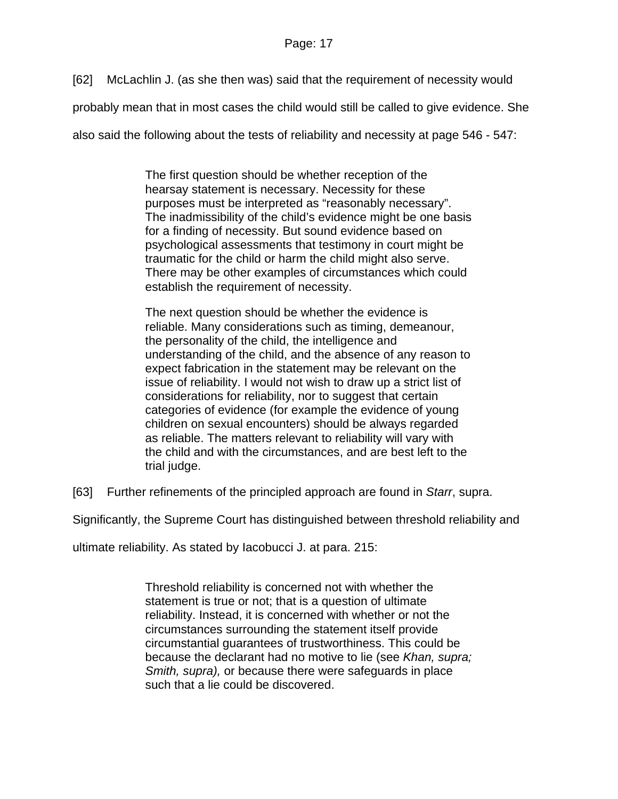[62] McLachlin J. (as she then was) said that the requirement of necessity would

probably mean that in most cases the child would still be called to give evidence. She

also said the following about the tests of reliability and necessity at page 546 - 547:

The first question should be whether reception of the hearsay statement is necessary. Necessity for these purposes must be interpreted as "reasonably necessary". The inadmissibility of the child's evidence might be one basis for a finding of necessity. But sound evidence based on psychological assessments that testimony in court might be traumatic for the child or harm the child might also serve. There may be other examples of circumstances which could establish the requirement of necessity.

The next question should be whether the evidence is reliable. Many considerations such as timing, demeanour, the personality of the child, the intelligence and understanding of the child, and the absence of any reason to expect fabrication in the statement may be relevant on the issue of reliability. I would not wish to draw up a strict list of considerations for reliability, nor to suggest that certain categories of evidence (for example the evidence of young children on sexual encounters) should be always regarded as reliable. The matters relevant to reliability will vary with the child and with the circumstances, and are best left to the trial judge.

[63] Further refinements of the principled approach are found in *Starr*, supra.

Significantly, the Supreme Court has distinguished between threshold reliability and

ultimate reliability. As stated by Iacobucci J. at para. 215:

Threshold reliability is concerned not with whether the statement is true or not; that is a question of ultimate reliability. Instead, it is concerned with whether or not the circumstances surrounding the statement itself provide circumstantial guarantees of trustworthiness. This could be because the declarant had no motive to lie (see *Khan, supra; Smith, supra),* or because there were safeguards in place such that a lie could be discovered.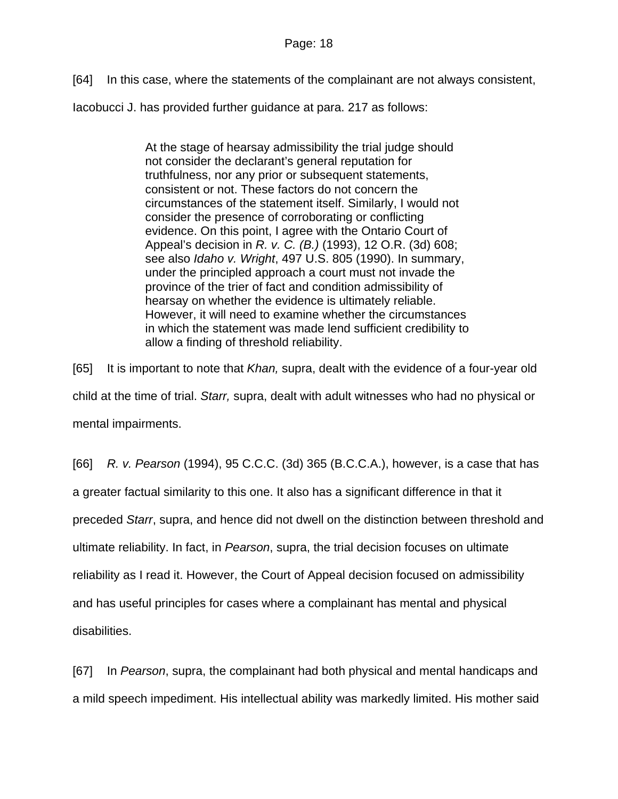[64] In this case, where the statements of the complainant are not always consistent,

Iacobucci J. has provided further guidance at para. 217 as follows:

At the stage of hearsay admissibility the trial judge should not consider the declarant's general reputation for truthfulness, nor any prior or subsequent statements, consistent or not. These factors do not concern the circumstances of the statement itself. Similarly, I would not consider the presence of corroborating or conflicting evidence. On this point, I agree with the Ontario Court of Appeal's decision in *R. v. C. (B.)* (1993), 12 O.R. (3d) 608; see also *Idaho v. Wright*, 497 U.S. 805 (1990). In summary, under the principled approach a court must not invade the province of the trier of fact and condition admissibility of hearsay on whether the evidence is ultimately reliable. However, it will need to examine whether the circumstances in which the statement was made lend sufficient credibility to allow a finding of threshold reliability.

[65] It is important to note that *Khan,* supra, dealt with the evidence of a four-year old child at the time of trial. *Starr,* supra, dealt with adult witnesses who had no physical or mental impairments.

[66] *R. v. Pearson* (1994), 95 C.C.C. (3d) 365 (B.C.C.A.), however, is a case that has a greater factual similarity to this one. It also has a significant difference in that it preceded *Starr*, supra, and hence did not dwell on the distinction between threshold and ultimate reliability. In fact, in *Pearson*, supra, the trial decision focuses on ultimate reliability as I read it. However, the Court of Appeal decision focused on admissibility and has useful principles for cases where a complainant has mental and physical disabilities.

[67] In *Pearson*, supra, the complainant had both physical and mental handicaps and a mild speech impediment. His intellectual ability was markedly limited. His mother said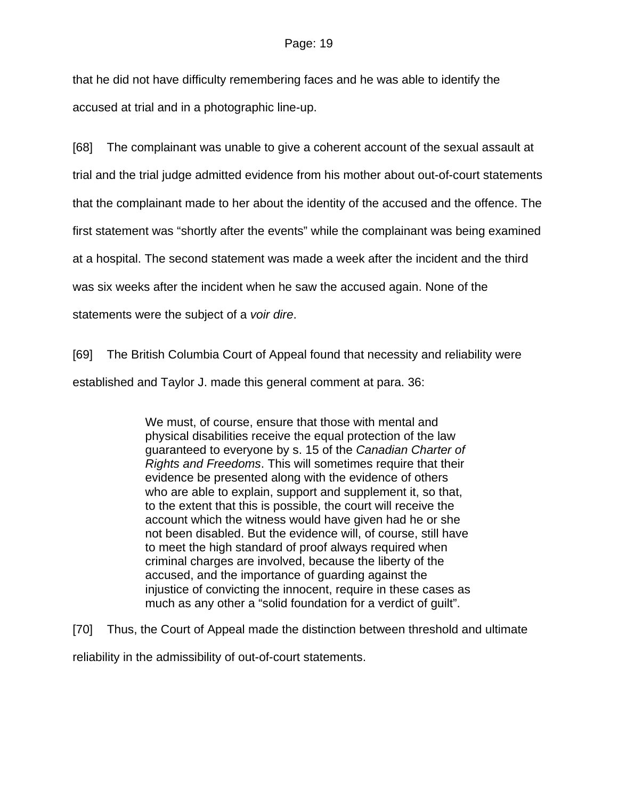that he did not have difficulty remembering faces and he was able to identify the accused at trial and in a photographic line-up.

[68] The complainant was unable to give a coherent account of the sexual assault at

trial and the trial judge admitted evidence from his mother about out-of-court statements

that the complainant made to her about the identity of the accused and the offence. The

first statement was "shortly after the events" while the complainant was being examined

at a hospital. The second statement was made a week after the incident and the third

was six weeks after the incident when he saw the accused again. None of the

statements were the subject of a *voir dire*.

[69] The British Columbia Court of Appeal found that necessity and reliability were

established and Taylor J. made this general comment at para. 36:

We must, of course, ensure that those with mental and physical disabilities receive the equal protection of the law guaranteed to everyone by s. 15 of the *Canadian Charter of Rights and Freedoms*. This will sometimes require that their evidence be presented along with the evidence of others who are able to explain, support and supplement it, so that, to the extent that this is possible, the court will receive the account which the witness would have given had he or she not been disabled. But the evidence will, of course, still have to meet the high standard of proof always required when criminal charges are involved, because the liberty of the accused, and the importance of guarding against the injustice of convicting the innocent, require in these cases as much as any other a "solid foundation for a verdict of guilt".

[70] Thus, the Court of Appeal made the distinction between threshold and ultimate

reliability in the admissibility of out-of-court statements.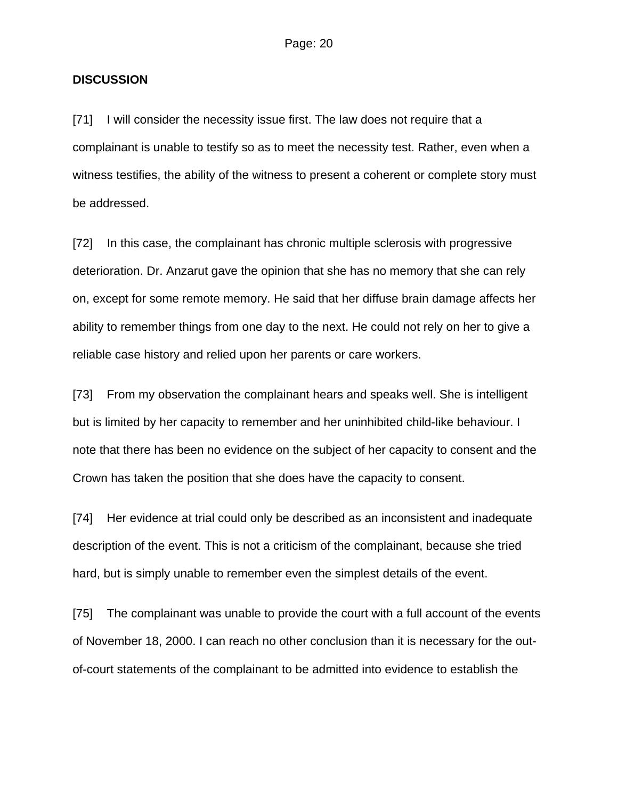### **DISCUSSION**

[71] I will consider the necessity issue first. The law does not require that a complainant is unable to testify so as to meet the necessity test. Rather, even when a witness testifies, the ability of the witness to present a coherent or complete story must be addressed.

[72] In this case, the complainant has chronic multiple sclerosis with progressive deterioration. Dr. Anzarut gave the opinion that she has no memory that she can rely on, except for some remote memory. He said that her diffuse brain damage affects her ability to remember things from one day to the next. He could not rely on her to give a reliable case history and relied upon her parents or care workers.

[73] From my observation the complainant hears and speaks well. She is intelligent but is limited by her capacity to remember and her uninhibited child-like behaviour. I note that there has been no evidence on the subject of her capacity to consent and the Crown has taken the position that she does have the capacity to consent.

[74] Her evidence at trial could only be described as an inconsistent and inadequate description of the event. This is not a criticism of the complainant, because she tried hard, but is simply unable to remember even the simplest details of the event.

[75] The complainant was unable to provide the court with a full account of the events of November 18, 2000. I can reach no other conclusion than it is necessary for the outof-court statements of the complainant to be admitted into evidence to establish the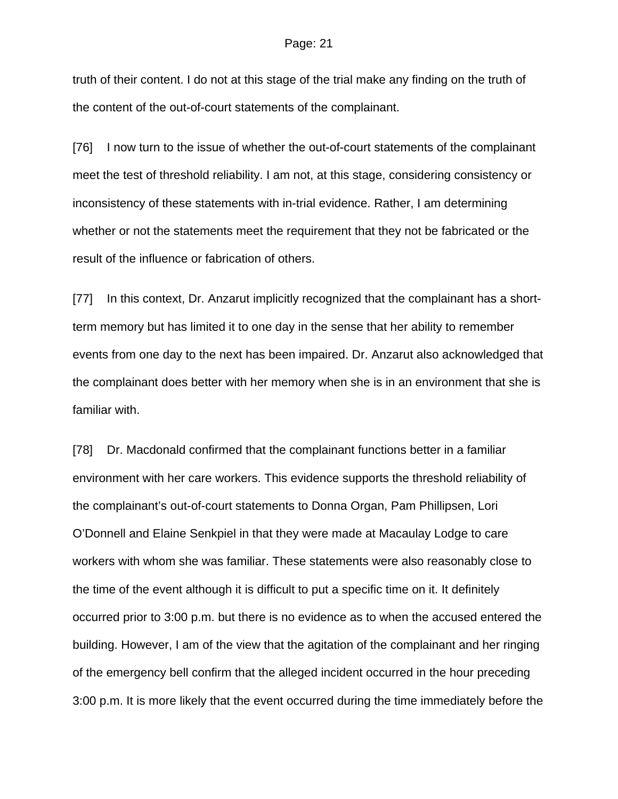truth of their content. I do not at this stage of the trial make any finding on the truth of the content of the out-of-court statements of the complainant.

[76] I now turn to the issue of whether the out-of-court statements of the complainant meet the test of threshold reliability. I am not, at this stage, considering consistency or inconsistency of these statements with in-trial evidence. Rather, I am determining whether or not the statements meet the requirement that they not be fabricated or the result of the influence or fabrication of others.

[77] In this context, Dr. Anzarut implicitly recognized that the complainant has a shortterm memory but has limited it to one day in the sense that her ability to remember events from one day to the next has been impaired. Dr. Anzarut also acknowledged that the complainant does better with her memory when she is in an environment that she is familiar with.

[78] Dr. Macdonald confirmed that the complainant functions better in a familiar environment with her care workers. This evidence supports the threshold reliability of the complainant's out-of-court statements to Donna Organ, Pam Phillipsen, Lori O'Donnell and Elaine Senkpiel in that they were made at Macaulay Lodge to care workers with whom she was familiar. These statements were also reasonably close to the time of the event although it is difficult to put a specific time on it. It definitely occurred prior to 3:00 p.m. but there is no evidence as to when the accused entered the building. However, I am of the view that the agitation of the complainant and her ringing of the emergency bell confirm that the alleged incident occurred in the hour preceding 3:00 p.m. It is more likely that the event occurred during the time immediately before the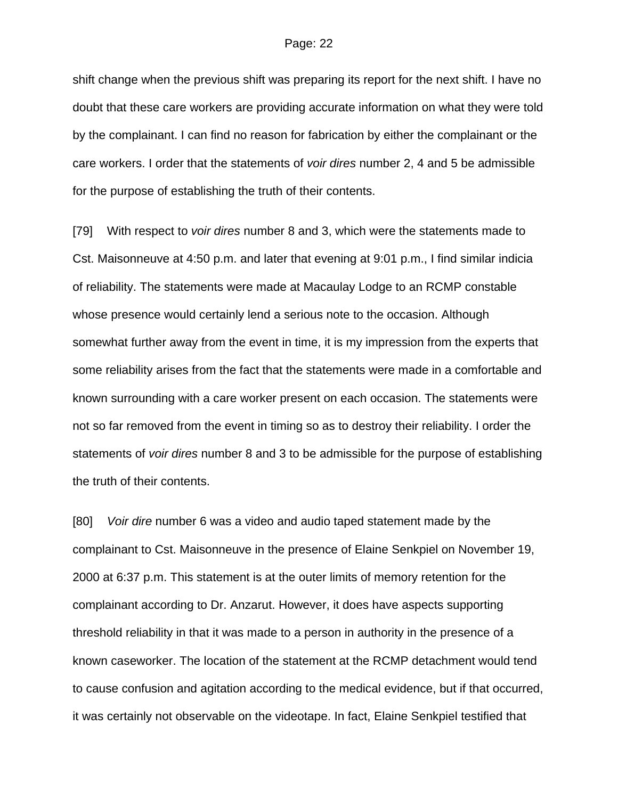shift change when the previous shift was preparing its report for the next shift. I have no doubt that these care workers are providing accurate information on what they were told by the complainant. I can find no reason for fabrication by either the complainant or the care workers. I order that the statements of *voir dires* number 2, 4 and 5 be admissible for the purpose of establishing the truth of their contents.

[79] With respect to *voir dires* number 8 and 3, which were the statements made to Cst. Maisonneuve at 4:50 p.m. and later that evening at 9:01 p.m., I find similar indicia of reliability. The statements were made at Macaulay Lodge to an RCMP constable whose presence would certainly lend a serious note to the occasion. Although somewhat further away from the event in time, it is my impression from the experts that some reliability arises from the fact that the statements were made in a comfortable and known surrounding with a care worker present on each occasion. The statements were not so far removed from the event in timing so as to destroy their reliability. I order the statements of *voir dires* number 8 and 3 to be admissible for the purpose of establishing the truth of their contents.

[80] *Voir dire* number 6 was a video and audio taped statement made by the complainant to Cst. Maisonneuve in the presence of Elaine Senkpiel on November 19, 2000 at 6:37 p.m. This statement is at the outer limits of memory retention for the complainant according to Dr. Anzarut. However, it does have aspects supporting threshold reliability in that it was made to a person in authority in the presence of a known caseworker. The location of the statement at the RCMP detachment would tend to cause confusion and agitation according to the medical evidence, but if that occurred, it was certainly not observable on the videotape. In fact, Elaine Senkpiel testified that